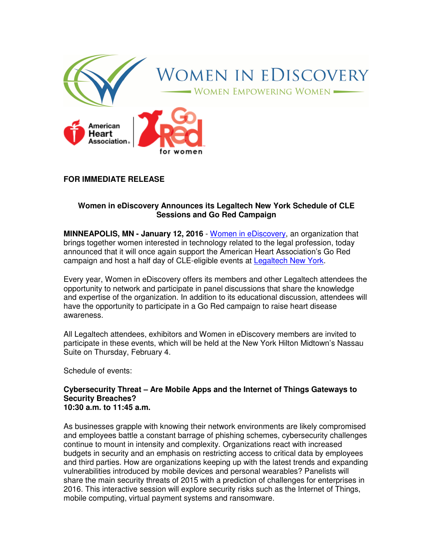

## **FOR IMMEDIATE RELEASE**

### **Women in eDiscovery Announces its Legaltech New York Schedule of CLE Sessions and Go Red Campaign**

**MINNEAPOLIS, MN - January 12, 2016** - Women in eDiscovery, an organization that brings together women interested in technology related to the legal profession, today announced that it will once again support the American Heart Association's Go Red campaign and host a half day of CLE-eligible events at Legaltech New York.

Every year, Women in eDiscovery offers its members and other Legaltech attendees the opportunity to network and participate in panel discussions that share the knowledge and expertise of the organization. In addition to its educational discussion, attendees will have the opportunity to participate in a Go Red campaign to raise heart disease awareness.

All Legaltech attendees, exhibitors and Women in eDiscovery members are invited to participate in these events, which will be held at the New York Hilton Midtown's Nassau Suite on Thursday, February 4.

Schedule of events:

#### **Cybersecurity Threat – Are Mobile Apps and the Internet of Things Gateways to Security Breaches? 10:30 a.m. to 11:45 a.m.**

As businesses grapple with knowing their network environments are likely compromised and employees battle a constant barrage of phishing schemes, cybersecurity challenges continue to mount in intensity and complexity. Organizations react with increased budgets in security and an emphasis on restricting access to critical data by employees and third parties. How are organizations keeping up with the latest trends and expanding vulnerabilities introduced by mobile devices and personal wearables? Panelists will share the main security threats of 2015 with a prediction of challenges for enterprises in 2016. This interactive session will explore security risks such as the Internet of Things, mobile computing, virtual payment systems and ransomware.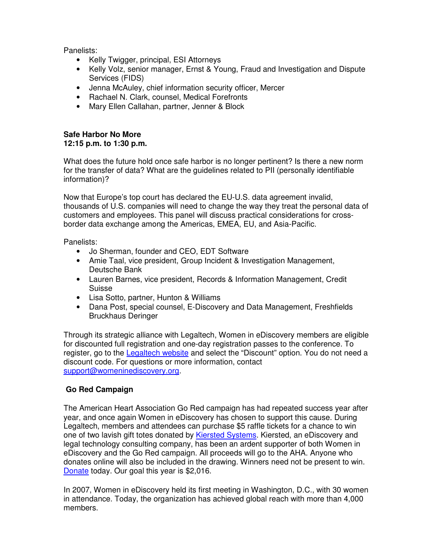Panelists:

- Kelly Twigger, principal, ESI Attorneys
- Kelly Volz, senior manager, Ernst & Young, Fraud and Investigation and Dispute Services (FIDS)
- Jenna McAuley, chief information security officer, Mercer
- Rachael N. Clark, counsel, Medical Forefronts
- Mary Ellen Callahan, partner, Jenner & Block

# **Safe Harbor No More 12:15 p.m. to 1:30 p.m.**

What does the future hold once safe harbor is no longer pertinent? Is there a new norm for the transfer of data? What are the guidelines related to PII (personally identifiable information)?

Now that Europe's top court has declared the EU-U.S. data agreement invalid, thousands of U.S. companies will need to change the way they treat the personal data of customers and employees. This panel will discuss practical considerations for crossborder data exchange among the Americas, EMEA, EU, and Asia-Pacific.

Panelists:

- Jo Sherman, founder and CEO, EDT Software
- Amie Taal, vice president, Group Incident & Investigation Management, Deutsche Bank
- Lauren Barnes, vice president, Records & Information Management, Credit Suisse
- Lisa Sotto, partner, Hunton & Williams
- Dana Post, special counsel, E-Discovery and Data Management, Freshfields Bruckhaus Deringer

Through its strategic alliance with Legaltech, Women in eDiscovery members are eligible for discounted full registration and one-day registration passes to the conference. To register, go to the Legaltech website and select the "Discount" option. You do not need a discount code. For questions or more information, contact support@womeninediscovery.org.

# **Go Red Campaign**

The American Heart Association Go Red campaign has had repeated success year after year, and once again Women in eDiscovery has chosen to support this cause. During Legaltech, members and attendees can purchase \$5 raffle tickets for a chance to win one of two lavish gift totes donated by Kiersted Systems. Kiersted, an eDiscovery and legal technology consulting company, has been an ardent supporter of both Women in eDiscovery and the Go Red campaign. All proceeds will go to the AHA. Anyone who donates online will also be included in the drawing. Winners need not be present to win. Donate today. Our goal this year is \$2,016.

In 2007, Women in eDiscovery held its first meeting in Washington, D.C., with 30 women in attendance. Today, the organization has achieved global reach with more than 4,000 members.